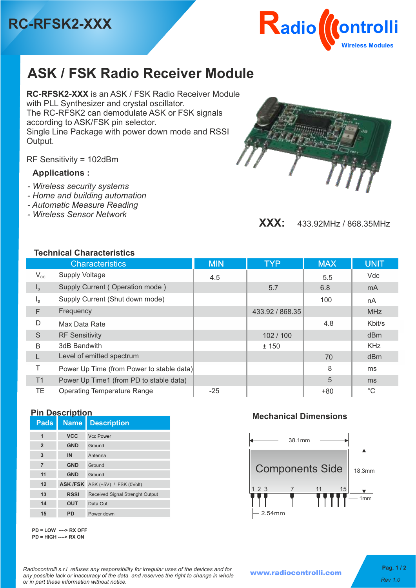



# **ASK / FSK Radio Receiver Module**

**RC-RFSK2-XXX** is an ASK / FSK Radio Receiver Module with PLL Synthesizer and crystal oscillator. The RC-RFSK2 can demodulate ASK or FSK signals according to ASK/FSK pin selector. Single Line Package with power down mode and RSSI Output.

RF Sensitivity = 102dBm

## **Applications :**

- *Wireless security systems*
- *Home and building automation*
- *Automatic Measure Reading*
- *Wireless Sensor Network*



**XXX:** 433.92MHz / 868.35MHz

### **Technical Characteristics**

|                         | <b>Characteristics</b>                    | <b>MIN</b> | <b>TYP</b>      | <b>MAX</b> | <b>UNIT</b>     |
|-------------------------|-------------------------------------------|------------|-----------------|------------|-----------------|
| $V_{cc}$                | <b>Supply Voltage</b>                     | 4.5        |                 | 5.5        | Vdc             |
| $\mathsf{I}_\mathsf{S}$ | Supply Current (Operation mode)           |            | 5.7             | 6.8        | m <sub>A</sub>  |
| $I_{\rm s}$             | Supply Current (Shut down mode)           |            |                 | 100        | nA              |
| F                       | Frequency                                 |            | 433.92 / 868.35 |            | <b>MHz</b>      |
| D                       | Max Data Rate                             |            |                 | 4.8        | Kbit/s          |
| S                       | <b>RF Sensitivity</b>                     |            | 102/100         |            | d <sub>Bm</sub> |
| B                       | 3dB Bandwith                              |            | ± 150           |            | <b>KHz</b>      |
|                         | Level of emitted spectrum                 |            |                 | 70         | d <sub>Bm</sub> |
| Τ                       | Power Up Time (from Power to stable data) |            |                 | 8          | ms              |
| T1                      | Power Up Time1 (from PD to stable data)   |            |                 | 5          | m <sub>s</sub>  |
| TE                      | <b>Operating Temperature Range</b>        | $-25$      |                 | $+80$      | $^{\circ}C$     |

### **Pin Description**

| <b>Pads</b>    | <b>Name</b>     | <b>Description</b>                     |
|----------------|-----------------|----------------------------------------|
| 1              | <b>VCC</b>      | <b>Vcc Power</b>                       |
| $\overline{2}$ | <b>GND</b>      | Ground                                 |
| 3              | IN              | Antenna                                |
| $\overline{7}$ | <b>GND</b>      | Ground                                 |
| 11             | <b>GND</b>      | Ground                                 |
| 12             | <b>ASK /FSK</b> | ASK (+5V) / FSK (0Volt)                |
| 13             | <b>RSSI</b>     | <b>Received Signal Strenght Output</b> |
| 14             | <b>OUT</b>      | Data Out                               |
| 15             | PD              | Power down                             |

 **Mechanical Dimensions**



**PD = LOW ----> RX OFF PD = HIGH ----> RX ON**

*Radiocontrolli s.r.l refuses any responsibility for irregular uses of the devices and for any possible lack or inaccuracy of the data and reserves the right to change in whole or in part these information without notice.**Rev 1.0*